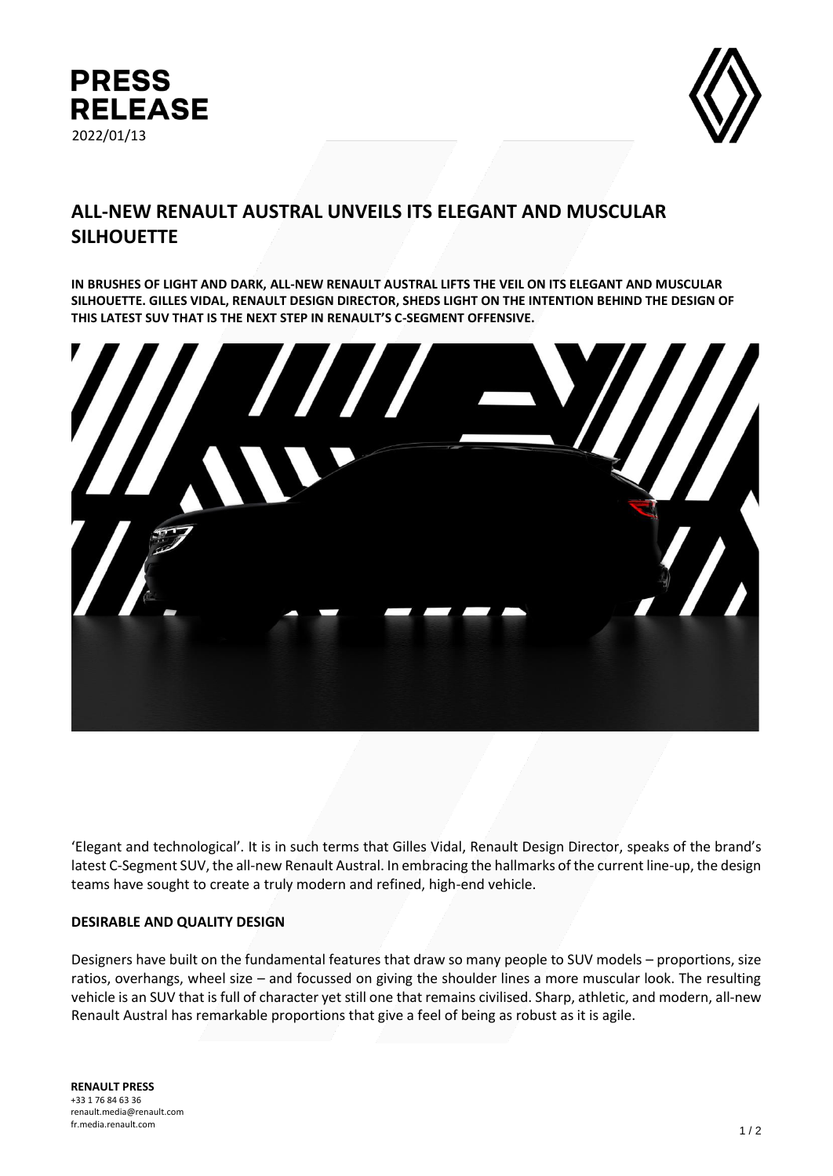



# **ALL-NEW RENAULT AUSTRAL UNVEILS ITS ELEGANT AND MUSCULAR SILHOUETTE**

**IN BRUSHES OF LIGHT AND DARK, ALL-NEW RENAULT AUSTRAL LIFTS THE VEIL ON ITS ELEGANT AND MUSCULAR SILHOUETTE. GILLES VIDAL, RENAULT DESIGN DIRECTOR, SHEDS LIGHT ON THE INTENTION BEHIND THE DESIGN OF THIS LATEST SUV THAT IS THE NEXT STEP IN RENAULT'S C-SEGMENT OFFENSIVE.** 



'Elegant and technological'. It is in such terms that Gilles Vidal, Renault Design Director, speaks of the brand's latest C-Segment SUV, the all-new Renault Austral. In embracing the hallmarks of the current line-up, the design teams have sought to create a truly modern and refined, high-end vehicle.

### **DESIRABLE AND QUALITY DESIGN**

Designers have built on the fundamental features that draw so many people to SUV models – proportions, size ratios, overhangs, wheel size – and focussed on giving the shoulder lines a more muscular look. The resulting vehicle is an SUV that is full of character yet still one that remains civilised. Sharp, athletic, and modern, all-new Renault Austral has remarkable proportions that give a feel of being as robust as it is agile.